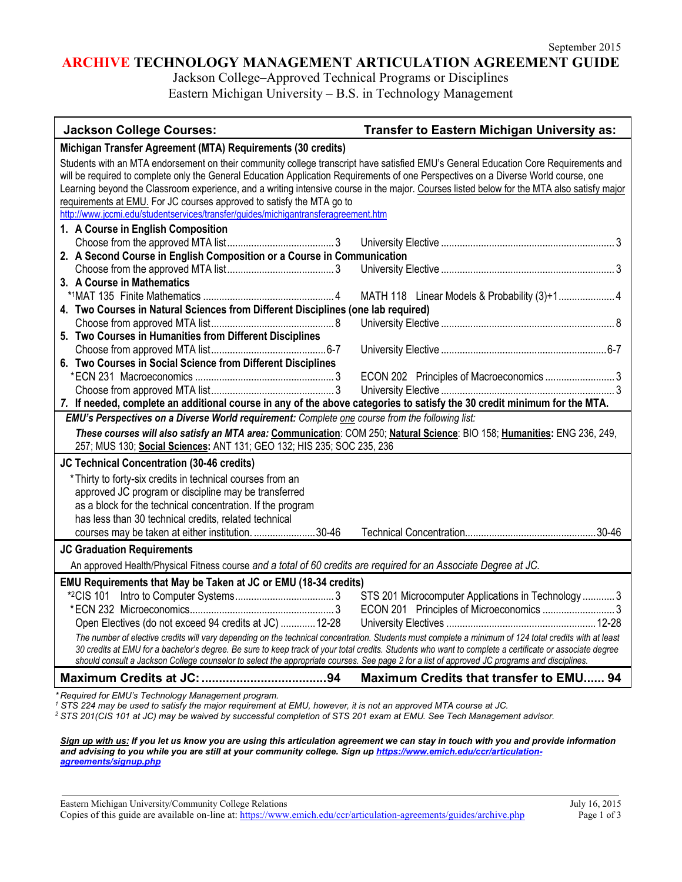## **ARCHIVE TECHNOLOGY MANAGEMENT ARTICULATION AGREEMENT GUIDE**

Jackson College–Approved Technical Programs or Disciplines Eastern Michigan University – B.S. in Technology Management

| <b>Jackson College Courses:</b>                                                                                                                                                                                                                                                                                                                                                                                                                                                                                                                                                         | Transfer to Eastern Michigan University as:         |
|-----------------------------------------------------------------------------------------------------------------------------------------------------------------------------------------------------------------------------------------------------------------------------------------------------------------------------------------------------------------------------------------------------------------------------------------------------------------------------------------------------------------------------------------------------------------------------------------|-----------------------------------------------------|
| Michigan Transfer Agreement (MTA) Requirements (30 credits)                                                                                                                                                                                                                                                                                                                                                                                                                                                                                                                             |                                                     |
| Students with an MTA endorsement on their community college transcript have satisfied EMU's General Education Core Requirements and<br>will be required to complete only the General Education Application Requirements of one Perspectives on a Diverse World course, one<br>Learning beyond the Classroom experience, and a writing intensive course in the major. Courses listed below for the MTA also satisfy major<br>requirements at EMU. For JC courses approved to satisfy the MTA go to<br>http://www.jccmi.edu/studentservices/transfer/guides/michigantransferagreement.htm |                                                     |
| 1. A Course in English Composition                                                                                                                                                                                                                                                                                                                                                                                                                                                                                                                                                      |                                                     |
|                                                                                                                                                                                                                                                                                                                                                                                                                                                                                                                                                                                         |                                                     |
| 2. A Second Course in English Composition or a Course in Communication                                                                                                                                                                                                                                                                                                                                                                                                                                                                                                                  |                                                     |
|                                                                                                                                                                                                                                                                                                                                                                                                                                                                                                                                                                                         |                                                     |
| 3. A Course in Mathematics                                                                                                                                                                                                                                                                                                                                                                                                                                                                                                                                                              |                                                     |
|                                                                                                                                                                                                                                                                                                                                                                                                                                                                                                                                                                                         | MATH 118 Linear Models & Probability (3)+1 4        |
| 4. Two Courses in Natural Sciences from Different Disciplines (one lab required)                                                                                                                                                                                                                                                                                                                                                                                                                                                                                                        |                                                     |
|                                                                                                                                                                                                                                                                                                                                                                                                                                                                                                                                                                                         |                                                     |
| 5. Two Courses in Humanities from Different Disciplines                                                                                                                                                                                                                                                                                                                                                                                                                                                                                                                                 |                                                     |
| 6. Two Courses in Social Science from Different Disciplines                                                                                                                                                                                                                                                                                                                                                                                                                                                                                                                             |                                                     |
|                                                                                                                                                                                                                                                                                                                                                                                                                                                                                                                                                                                         |                                                     |
|                                                                                                                                                                                                                                                                                                                                                                                                                                                                                                                                                                                         |                                                     |
| 7. If needed, complete an additional course in any of the above categories to satisfy the 30 credit minimum for the MTA.                                                                                                                                                                                                                                                                                                                                                                                                                                                                |                                                     |
| EMU's Perspectives on a Diverse World requirement: Complete one course from the following list:                                                                                                                                                                                                                                                                                                                                                                                                                                                                                         |                                                     |
| These courses will also satisfy an MTA area: Communication: COM 250; Natural Science: BIO 158; Humanities: ENG 236, 249,<br>257; MUS 130; Social Sciences: ANT 131; GEO 132; HIS 235; SOC 235, 236                                                                                                                                                                                                                                                                                                                                                                                      |                                                     |
|                                                                                                                                                                                                                                                                                                                                                                                                                                                                                                                                                                                         |                                                     |
| JC Technical Concentration (30-46 credits)                                                                                                                                                                                                                                                                                                                                                                                                                                                                                                                                              |                                                     |
| * Thirty to forty-six credits in technical courses from an                                                                                                                                                                                                                                                                                                                                                                                                                                                                                                                              |                                                     |
| approved JC program or discipline may be transferred                                                                                                                                                                                                                                                                                                                                                                                                                                                                                                                                    |                                                     |
| as a block for the technical concentration. If the program<br>has less than 30 technical credits, related technical                                                                                                                                                                                                                                                                                                                                                                                                                                                                     |                                                     |
| courses may be taken at either institution.  30-46                                                                                                                                                                                                                                                                                                                                                                                                                                                                                                                                      |                                                     |
|                                                                                                                                                                                                                                                                                                                                                                                                                                                                                                                                                                                         |                                                     |
| <b>JC Graduation Requirements</b><br>An approved Health/Physical Fitness course and a total of 60 credits are required for an Associate Degree at JC.                                                                                                                                                                                                                                                                                                                                                                                                                                   |                                                     |
|                                                                                                                                                                                                                                                                                                                                                                                                                                                                                                                                                                                         |                                                     |
| EMU Requirements that May be Taken at JC or EMU (18-34 credits)                                                                                                                                                                                                                                                                                                                                                                                                                                                                                                                         | STS 201 Microcomputer Applications in Technology  3 |
|                                                                                                                                                                                                                                                                                                                                                                                                                                                                                                                                                                                         |                                                     |
| Open Electives (do not exceed 94 credits at JC)  12-28                                                                                                                                                                                                                                                                                                                                                                                                                                                                                                                                  |                                                     |
| The number of elective credits will vary depending on the technical concentration. Students must complete a minimum of 124 total credits with at least                                                                                                                                                                                                                                                                                                                                                                                                                                  |                                                     |
| 30 credits at EMU for a bachelor's degree. Be sure to keep track of your total credits. Students who want to complete a certificate or associate degree<br>should consult a Jackson College counselor to select the appropriate courses. See page 2 for a list of approved JC programs and disciplines.                                                                                                                                                                                                                                                                                 |                                                     |
|                                                                                                                                                                                                                                                                                                                                                                                                                                                                                                                                                                                         | Maximum Credits that transfer to EMU 94             |
| $*$ Dequired for $\Box M$ $\Box$ Technology Management program                                                                                                                                                                                                                                                                                                                                                                                                                                                                                                                          |                                                     |

*\* Required for EMU's Technology Management program. 1 STS 224 may be used to satisfy the major requirement at EMU, however, it is not an approved MTA course at JC.*

*<sup>2</sup> STS 201(CIS 101 at JC) may be waived by successful completion of STS 201 exam at EMU. See Tech Management advisor.*

*Sign up with us: If you let us know you are using this articulation agreement we can stay in touch with you and provide information and advising to you while you are still at your community college. Sign u[p https://www.emich.edu/ccr/articulation](https://www.emich.edu/ccr/articulation-agreements/signup.php)[agreements/signup.php](https://www.emich.edu/ccr/articulation-agreements/signup.php)*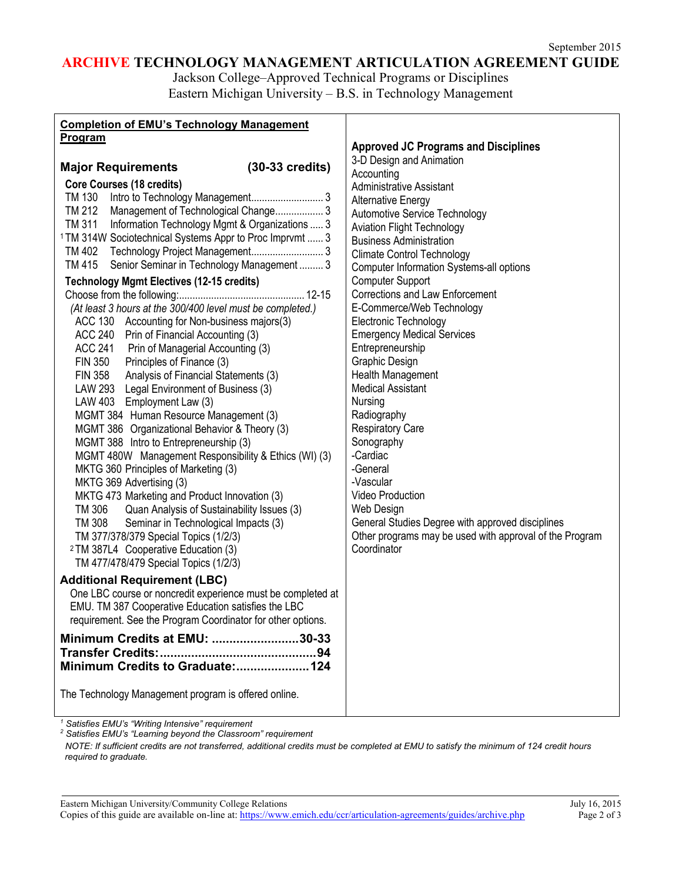# **ARCHIVE TECHNOLOGY MANAGEMENT ARTICULATION AGREEMENT GUIDE**

Jackson College–Approved Technical Programs or Disciplines Eastern Michigan University – B.S. in Technology Management

| <b>Completion of EMU's Technology Management</b>                    |                                                         |
|---------------------------------------------------------------------|---------------------------------------------------------|
| <b>Program</b>                                                      | <b>Approved JC Programs and Disciplines</b>             |
|                                                                     | 3-D Design and Animation                                |
| $(30-33 \text{ credits})$<br><b>Major Requirements</b>              | Accounting                                              |
| <b>Core Courses (18 credits)</b>                                    | <b>Administrative Assistant</b>                         |
|                                                                     | <b>Alternative Energy</b>                               |
| TM 212<br>Management of Technological Change 3                      | Automotive Service Technology                           |
| TM 311<br>Information Technology Mgmt & Organizations  3            | <b>Aviation Flight Technology</b>                       |
| <sup>1</sup> TM 314W Sociotechnical Systems Appr to Proc Imprvmt  3 | <b>Business Administration</b>                          |
|                                                                     | <b>Climate Control Technology</b>                       |
| Senior Seminar in Technology Management  3<br>TM 415                | Computer Information Systems-all options                |
| <b>Technology Mgmt Electives (12-15 credits)</b>                    | <b>Computer Support</b>                                 |
|                                                                     | <b>Corrections and Law Enforcement</b>                  |
| (At least 3 hours at the 300/400 level must be completed.)          | E-Commerce/Web Technology                               |
| ACC 130 Accounting for Non-business majors(3)                       | Electronic Technology                                   |
| ACC 240 Prin of Financial Accounting (3)                            | <b>Emergency Medical Services</b>                       |
| <b>ACC 241</b><br>Prin of Managerial Accounting (3)                 | Entrepreneurship                                        |
| <b>FIN 350</b><br>Principles of Finance (3)                         | Graphic Design                                          |
| Analysis of Financial Statements (3)<br><b>FIN 358</b>              | Health Management                                       |
| LAW 293 Legal Environment of Business (3)                           | <b>Medical Assistant</b>                                |
| LAW 403 Employment Law (3)                                          | Nursing                                                 |
| MGMT 384 Human Resource Management (3)                              | Radiography                                             |
| MGMT 386 Organizational Behavior & Theory (3)                       | <b>Respiratory Care</b>                                 |
| MGMT 388 Intro to Entrepreneurship (3)                              | Sonography                                              |
| MGMT 480W Management Responsibility & Ethics (WI) (3)               | -Cardiac                                                |
| MKTG 360 Principles of Marketing (3)                                | -General                                                |
| MKTG 369 Advertising (3)                                            | -Vascular                                               |
| MKTG 473 Marketing and Product Innovation (3)                       | Video Production                                        |
| TM 306<br>Quan Analysis of Sustainability Issues (3)                | Web Design                                              |
| TM 308<br>Seminar in Technological Impacts (3)                      | General Studies Degree with approved disciplines        |
| TM 377/378/379 Special Topics (1/2/3)                               | Other programs may be used with approval of the Program |
| <sup>2</sup> TM 387L4 Cooperative Education (3)                     | Coordinator                                             |
| TM 477/478/479 Special Topics (1/2/3)                               |                                                         |
| <b>Additional Requirement (LBC)</b>                                 |                                                         |
| One LBC course or noncredit experience must be completed at         |                                                         |
| EMU. TM 387 Cooperative Education satisfies the LBC                 |                                                         |
| requirement. See the Program Coordinator for other options.         |                                                         |
| Minimum Credits at EMU: 30-33                                       |                                                         |
|                                                                     |                                                         |
| Minimum Credits to Graduate:124                                     |                                                         |
|                                                                     |                                                         |
| The Technology Management program is offered online.                |                                                         |
|                                                                     |                                                         |
|                                                                     |                                                         |

*<sup>1</sup> Satisfies EMU's "Writing Intensive" requirement*

*<sup>2</sup> Satisfies EMU's "Learning beyond the Classroom" requirement*

*NOTE: If sufficient credits are not transferred, additional credits must be completed at EMU to satisfy the minimum of 124 credit hours required to graduate.*